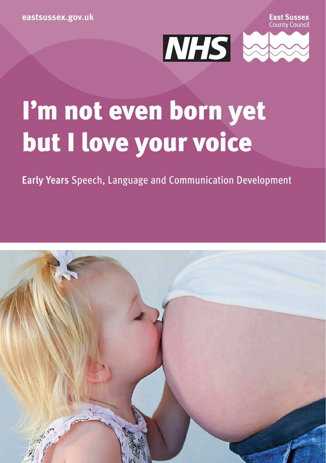East Sussex County Counci



# I'm not even born yet but I love your voice

**Early Years** Speech, Language and Communication Development

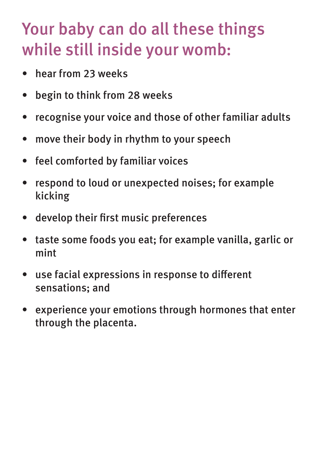### Your baby can do all these things while still inside your womb:

- hear from 23 weeks
- begin to think from 28 weeks
- recognise your voice and those of other familiar adults
- move their body in rhythm to your speech
- feel comforted by familiar voices
- respond to loud or unexpected noises; for example kicking
- develop their first music preferences
- taste some foods you eat; for example vanilla, garlic or mint
- use facial expressions in response to different sensations; and
- experience your emotions through hormones that enter through the placenta.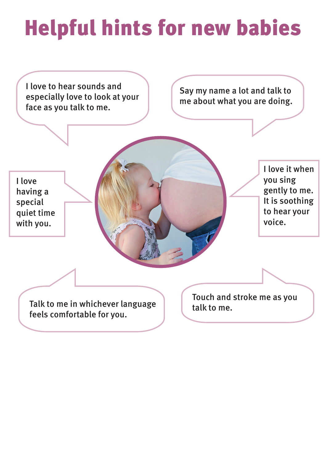## Helpful hints for new babies